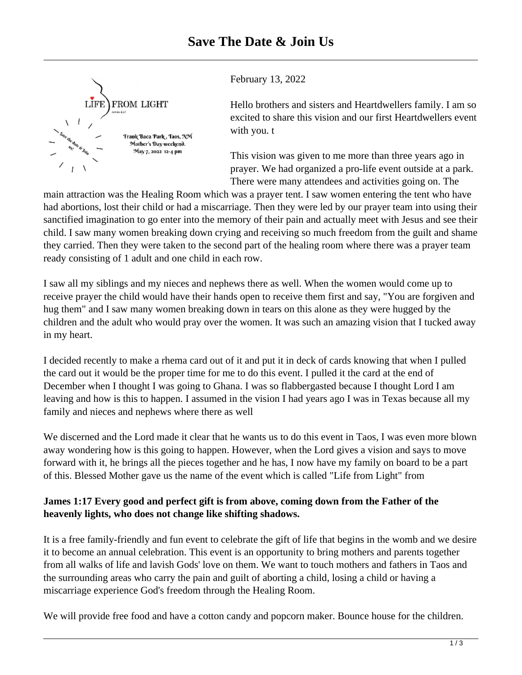

February 13, 2022

Hello brothers and sisters and Heartdwellers family. I am so excited to share this vision and our first Heartdwellers event with you. t

This vision was given to me more than three years ago in prayer. We had organized a pro-life event outside at a park. There were many attendees and activities going on. The

main attraction was the Healing Room which was a prayer tent. I saw women entering the tent who have had abortions, lost their child or had a miscarriage. Then they were led by our prayer team into using their sanctified imagination to go enter into the memory of their pain and actually meet with Jesus and see their child. I saw many women breaking down crying and receiving so much freedom from the guilt and shame they carried. Then they were taken to the second part of the healing room where there was a prayer team ready consisting of 1 adult and one child in each row.

I saw all my siblings and my nieces and nephews there as well. When the women would come up to receive prayer the child would have their hands open to receive them first and say, "You are forgiven and hug them" and I saw many women breaking down in tears on this alone as they were hugged by the children and the adult who would pray over the women. It was such an amazing vision that I tucked away in my heart.

I decided recently to make a rhema card out of it and put it in deck of cards knowing that when I pulled the card out it would be the proper time for me to do this event. I pulled it the card at the end of December when I thought I was going to Ghana. I was so flabbergasted because I thought Lord I am leaving and how is this to happen. I assumed in the vision I had years ago I was in Texas because all my family and nieces and nephews where there as well

We discerned and the Lord made it clear that he wants us to do this event in Taos, I was even more blown away wondering how is this going to happen. However, when the Lord gives a vision and says to move forward with it, he brings all the pieces together and he has, I now have my family on board to be a part of this. Blessed Mother gave us the name of the event which is called "Life from Light" from

## **James 1:17 Every good and perfect gift is from above, coming down from the Father of the heavenly lights, who does not change like shifting shadows.**

It is a free family-friendly and fun event to celebrate the gift of life that begins in the womb and we desire it to become an annual celebration. This event is an opportunity to bring mothers and parents together from all walks of life and lavish Gods' love on them. We want to touch mothers and fathers in Taos and the surrounding areas who carry the pain and guilt of aborting a child, losing a child or having a miscarriage experience God's freedom through the Healing Room.

We will provide free food and have a cotton candy and popcorn maker. Bounce house for the children.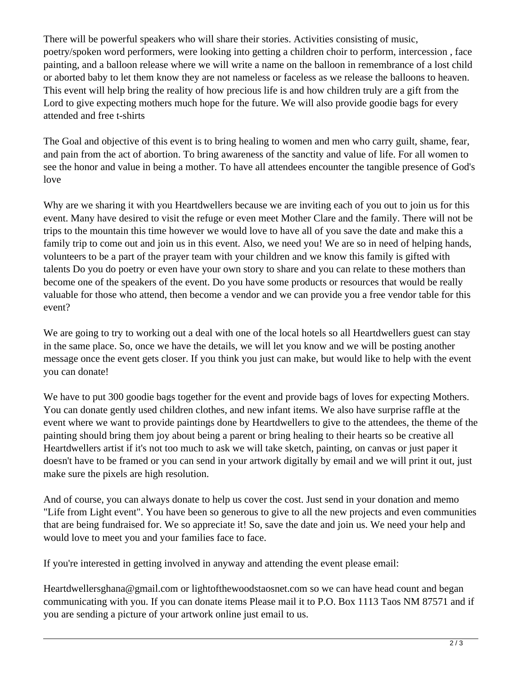There will be powerful speakers who will share their stories. Activities consisting of music, poetry/spoken word performers, were looking into getting a children choir to perform, intercession , face painting, and a balloon release where we will write a name on the balloon in remembrance of a lost child or aborted baby to let them know they are not nameless or faceless as we release the balloons to heaven. This event will help bring the reality of how precious life is and how children truly are a gift from the Lord to give expecting mothers much hope for the future. We will also provide goodie bags for every attended and free t-shirts

The Goal and objective of this event is to bring healing to women and men who carry guilt, shame, fear, and pain from the act of abortion. To bring awareness of the sanctity and value of life. For all women to see the honor and value in being a mother. To have all attendees encounter the tangible presence of God's love

Why are we sharing it with you Heartdwellers because we are inviting each of you out to join us for this event. Many have desired to visit the refuge or even meet Mother Clare and the family. There will not be trips to the mountain this time however we would love to have all of you save the date and make this a family trip to come out and join us in this event. Also, we need you! We are so in need of helping hands, volunteers to be a part of the prayer team with your children and we know this family is gifted with talents Do you do poetry or even have your own story to share and you can relate to these mothers than become one of the speakers of the event. Do you have some products or resources that would be really valuable for those who attend, then become a vendor and we can provide you a free vendor table for this event?

We are going to try to working out a deal with one of the local hotels so all Heartdwellers guest can stay in the same place. So, once we have the details, we will let you know and we will be posting another message once the event gets closer. If you think you just can make, but would like to help with the event you can donate!

We have to put 300 goodie bags together for the event and provide bags of loves for expecting Mothers. You can donate gently used children clothes, and new infant items. We also have surprise raffle at the event where we want to provide paintings done by Heartdwellers to give to the attendees, the theme of the painting should bring them joy about being a parent or bring healing to their hearts so be creative all Heartdwellers artist if it's not too much to ask we will take sketch, painting, on canvas or just paper it doesn't have to be framed or you can send in your artwork digitally by email and we will print it out, just make sure the pixels are high resolution.

And of course, you can always donate to help us cover the cost. Just send in your donation and memo "Life from Light event". You have been so generous to give to all the new projects and even communities that are being fundraised for. We so appreciate it! So, save the date and join us. We need your help and would love to meet you and your families face to face.

If you're interested in getting involved in anyway and attending the event please email:

Heartdwellersghana@gmail.com or lightofthewoodstaosnet.com so we can have head count and began communicating with you. If you can donate items Please mail it to P.O. Box 1113 Taos NM 87571 and if you are sending a picture of your artwork online just email to us.